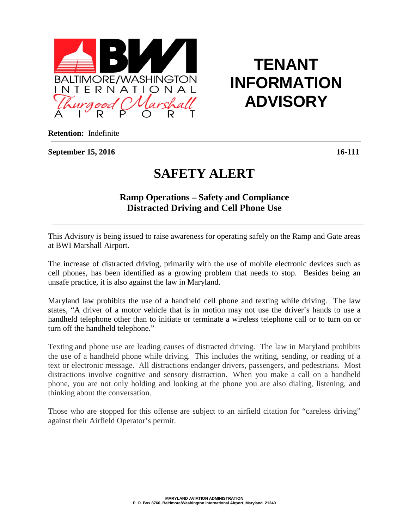

## **TENANT INFORMATION ADVISORY**

**Retention:** Indefinite

**September 15, 2016 16-111**

## **SAFETY ALERT**

## **Ramp Operations – Safety and Compliance Distracted Driving and Cell Phone Use**

This Advisory is being issued to raise awareness for operating safely on the Ramp and Gate areas at BWI Marshall Airport.

The increase of distracted driving, primarily with the use of mobile electronic devices such as cell phones, has been identified as a growing problem that needs to stop. Besides being an unsafe practice, it is also against the law in Maryland.

Maryland law prohibits the use of a handheld cell phone and texting while driving. The law states, "A driver of a motor vehicle that is in motion may not use the driver's hands to use a handheld telephone other than to initiate or terminate a wireless telephone call or to turn on or turn off the handheld telephone."

Texting and phone use are leading causes of distracted driving. The law in Maryland prohibits the use of a handheld phone while driving. This includes the writing, sending, or reading of a text or electronic message. All distractions endanger drivers, passengers, and pedestrians. Most distractions involve cognitive and sensory distraction. When you make a call on a handheld phone, you are not only holding and looking at the phone you are also dialing, listening, and thinking about the conversation.

Those who are stopped for this offense are subject to an airfield citation for "careless driving" against their Airfield Operator's permit.